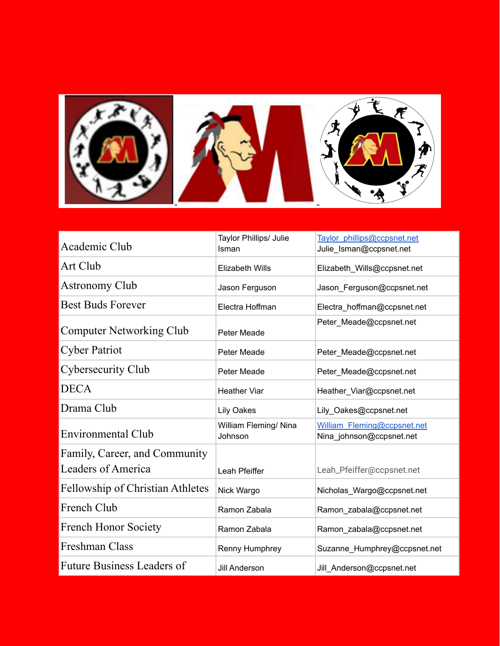

| Academic Club                                       | Taylor Phillips/ Julie<br>Isman  | Taylor phillips@ccpsnet.net<br>Julie_Isman@ccpsnet.net  |
|-----------------------------------------------------|----------------------------------|---------------------------------------------------------|
| Art Club                                            | <b>Elizabeth Wills</b>           | Elizabeth_Wills@ccpsnet.net                             |
| <b>Astronomy Club</b>                               | Jason Ferguson                   | Jason Ferguson@ccpsnet.net                              |
| <b>Best Buds Forever</b>                            | Electra Hoffman                  | Electra_hoffman@ccpsnet.net                             |
| <b>Computer Networking Club</b>                     | Peter Meade                      | Peter Meade@ccpsnet.net                                 |
| <b>Cyber Patriot</b>                                | Peter Meade                      | Peter_Meade@ccpsnet.net                                 |
| <b>Cybersecurity Club</b>                           | Peter Meade                      | Peter_Meade@ccpsnet.net                                 |
| <b>DECA</b>                                         | <b>Heather Viar</b>              | Heather_Viar@ccpsnet.net                                |
| Drama Club                                          | <b>Lily Oakes</b>                | Lily_Oakes@ccpsnet.net                                  |
| <b>Environmental Club</b>                           | William Fleming/ Nina<br>Johnson | William Fleming@ccpsnet.net<br>Nina_johnson@ccpsnet.net |
| Family, Career, and Community<br>Leaders of America | Leah Pfeiffer                    | Leah_Pfeiffer@ccpsnet.net                               |
| <b>Fellowship of Christian Athletes</b>             | Nick Wargo                       | Nicholas_Wargo@ccpsnet.net                              |
| French Club                                         | Ramon Zabala                     | Ramon_zabala@ccpsnet.net                                |
| <b>French Honor Society</b>                         | Ramon Zabala                     | Ramon_zabala@ccpsnet.net                                |
| Freshman Class                                      | Renny Humphrey                   | Suzanne_Humphrey@ccpsnet.net                            |
| <b>Future Business Leaders of</b>                   | Jill Anderson                    | Jill_Anderson@ccpsnet.net                               |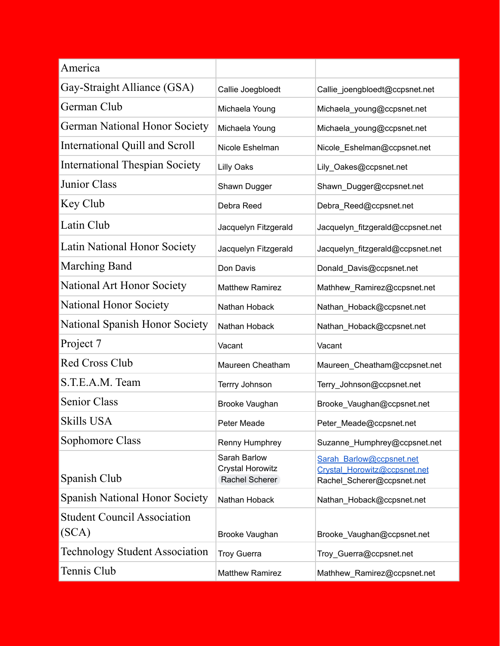| America                                     |                                                           |                                                                                        |
|---------------------------------------------|-----------------------------------------------------------|----------------------------------------------------------------------------------------|
| Gay-Straight Alliance (GSA)                 | Callie Joegbloedt                                         | Callie_joengbloedt@ccpsnet.net                                                         |
| German Club                                 | Michaela Young                                            | Michaela_young@ccpsnet.net                                                             |
| <b>German National Honor Society</b>        | Michaela Young                                            | Michaela_young@ccpsnet.net                                                             |
| International Quill and Scroll              | Nicole Eshelman                                           | Nicole_Eshelman@ccpsnet.net                                                            |
| <b>International Thespian Society</b>       | <b>Lilly Oaks</b>                                         | Lily_Oakes@ccpsnet.net                                                                 |
| <b>Junior Class</b>                         | Shawn Dugger                                              | Shawn_Dugger@ccpsnet.net                                                               |
| Key Club                                    | Debra Reed                                                | Debra_Reed@ccpsnet.net                                                                 |
| Latin Club                                  | Jacquelyn Fitzgerald                                      | Jacquelyn_fitzgerald@ccpsnet.net                                                       |
| Latin National Honor Society                | Jacquelyn Fitzgerald                                      | Jacquelyn_fitzgerald@ccpsnet.net                                                       |
| <b>Marching Band</b>                        | Don Davis                                                 | Donald_Davis@ccpsnet.net                                                               |
| National Art Honor Society                  | <b>Matthew Ramirez</b>                                    | Mathhew_Ramirez@ccpsnet.net                                                            |
| National Honor Society                      | Nathan Hoback                                             | Nathan_Hoback@ccpsnet.net                                                              |
| National Spanish Honor Society              | Nathan Hoback                                             | Nathan_Hoback@ccpsnet.net                                                              |
| Project 7                                   | Vacant                                                    | Vacant                                                                                 |
| <b>Red Cross Club</b>                       | Maureen Cheatham                                          | Maureen_Cheatham@ccpsnet.net                                                           |
| S.T.E.A.M. Team                             | Terrry Johnson                                            | Terry_Johnson@ccpsnet.net                                                              |
| Senior Class                                | Brooke Vaughan                                            | Brooke_Vaughan@ccpsnet.net                                                             |
| <b>Skills USA</b>                           | Peter Meade                                               | Peter_Meade@ccpsnet.net                                                                |
| Sophomore Class                             | Renny Humphrey                                            | Suzanne_Humphrey@ccpsnet.net                                                           |
| Spanish Club                                | Sarah Barlow<br><b>Crystal Horowitz</b><br>Rachel Scherer | Sarah Barlow@ccpsnet.net<br>Crystal Horowitz@ccpsnet.net<br>Rachel Scherer@ccpsnet.net |
| <b>Spanish National Honor Society</b>       | Nathan Hoback                                             | Nathan_Hoback@ccpsnet.net                                                              |
| <b>Student Council Association</b><br>(SCA) | Brooke Vaughan                                            | Brooke_Vaughan@ccpsnet.net                                                             |
| <b>Technology Student Association</b>       | <b>Troy Guerra</b>                                        | Troy_Guerra@ccpsnet.net                                                                |
| Tennis Club                                 | <b>Matthew Ramirez</b>                                    | Mathhew_Ramirez@ccpsnet.net                                                            |